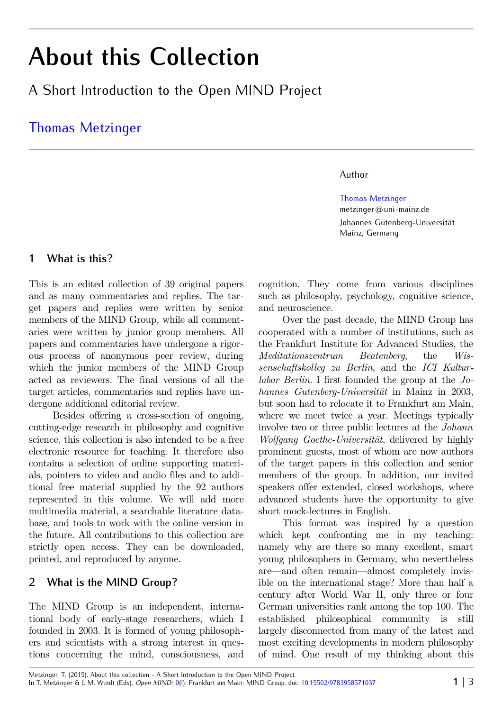# **About this Collection**

A Short Introduction to the Open MIND Project

# [Thomas Metzinger](http://www.open-mind.net/showAuthor?author=Thomas_Metzinger)

#### Author

[Thomas Metzinger](http://www.open-mind.net/showAuthor?author=Thomas_Metzinger) metzinger@uni-mainz.de     Johannes Gutenberg-Universität Mainz, Germany

# **1 What is this?**

This is an edited collection of 39 original papers and as many commentaries and replies. The target papers and replies were written by senior members of the MIND Group, while all commentaries were written by junior group members. All papers and commentaries have undergone a rigorous process of anonymous peer review, during which the junior members of the MIND Group acted as reviewers. The final versions of all the target articles, commentaries and replies have undergone additional editorial review.

Besides offering a cross-section of ongoing, cutting-edge research in philosophy and cognitive science, this collection is also intended to be a free electronic resource for teaching. It therefore also contains a selection of online supporting materials, pointers to video and audio files and to additional free material supplied by the 92 authors represented in this volume. We will add more multimedia material, a searchable literature database, and tools to work with the online version in the future. All contributions to this collection are strictly open access. They can be downloaded, printed, and reproduced by anyone.

## **2 What is the MIND Group?**

The MIND Group is an independent, international body of early-stage researchers, which I founded in 2003. It is formed of young philosophers and scientists with a strong interest in questions concerning the mind, consciousness, and cognition. They come from various disciplines such as philosophy, psychology, cognitive science, and neuroscience.

Over the past decade, the MIND Group has cooperated with a number of institutions, such as the Frankfurt Institute for Advanced Studies, the *Meditationszentrum Beatenberg*, the *Wissenschaftskolleg zu Berlin*, and the *ICI Kulturlabor Berlin*. I first founded the group at the *Johannes Gutenberg-Universität* in Mainz in 2003, but soon had to relocate it to Frankfurt am Main, where we meet twice a year. Meetings typically involve two or three public lectures at the *Johann Wolfgang Goethe-Universität*, delivered by highly prominent guests, most of whom are now authors of the target papers in this collection and senior members of the group. In addition, our invited speakers offer extended, closed workshops, where advanced students have the opportunity to give short mock-lectures in English.

This format was inspired by a question which kept confronting me in my teaching: namely why are there so many excellent, smart young philosophers in Germany, who nevertheless are—and often remain—almost completely invisible on the international stage? More than half a century after World War II, only three or four German universities rank among the top 100. The established philosophical community is still largely disconnected from many of the latest and most exciting developments in modern philosophy of mind. One result of my thinking about this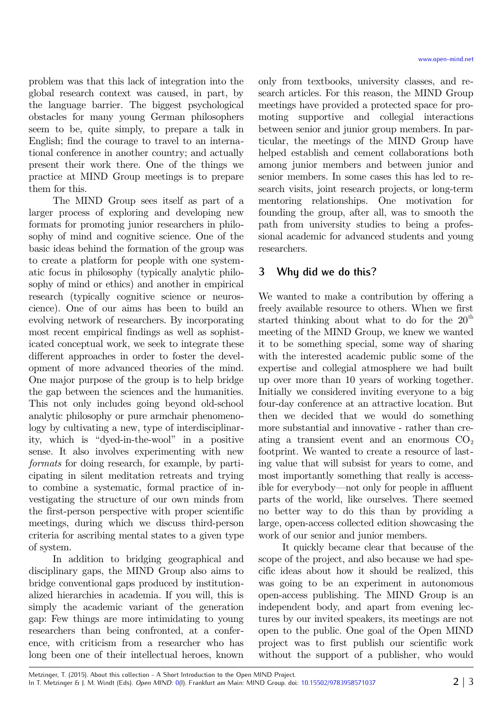problem was that this lack of integration into the global research context was caused, in part, by the language barrier. The biggest psychological obstacles for many young German philosophers seem to be, quite simply, to prepare a talk in English; find the courage to travel to an international conference in another country; and actually present their work there. One of the things we practice at MIND Group meetings is to prepare them for this.

The MIND Group sees itself as part of a larger process of exploring and developing new formats for promoting junior researchers in philosophy of mind and cognitive science. One of the basic ideas behind the formation of the group was to create a platform for people with one systematic focus in philosophy (typically analytic philosophy of mind or ethics) and another in empirical research (typically cognitive science or neuroscience). One of our aims has been to build an evolving network of researchers. By incorporating most recent empirical findings as well as sophisticated conceptual work, we seek to integrate these different approaches in order to foster the development of more advanced theories of the mind. One major purpose of the group is to help bridge the gap between the sciences and the humanities. This not only includes going beyond old-school analytic philosophy or pure armchair phenomenology by cultivating a new, type of interdisciplinarity, which is "dyed-in-the-wool" in a positive sense. It also involves experimenting with new *formats* for doing research, for example, by participating in silent meditation retreats and trying to combine a systematic, formal practice of investigating the structure of our own minds from the first-person perspective with proper scientific meetings, during which we discuss third-person criteria for ascribing mental states to a given type of system.

In addition to bridging geographical and disciplinary gaps, the MIND Group also aims to bridge conventional gaps produced by institutionalized hierarchies in academia. If you will, this is simply the academic variant of the generation gap: Few things are more intimidating to young researchers than being confronted, at a conference, with criticism from a researcher who has long been one of their intellectual heroes, known only from textbooks, university classes, and research articles. For this reason, the MIND Group meetings have provided a protected space for promoting supportive and collegial interactions between senior and junior group members. In particular, the meetings of the MIND Group have helped establish and cement collaborations both among junior members and between junior and senior members. In some cases this has led to research visits, joint research projects, or long-term mentoring relationships. One motivation for founding the group, after all, was to smooth the path from university studies to being a professional academic for advanced students and young researchers.

# **3 Why did we do this?**

We wanted to make a contribution by offering a freely available resource to others. When we first started thinking about what to do for the  $20<sup>th</sup>$ meeting of the MIND Group, we knew we wanted it to be something special, some way of sharing with the interested academic public some of the expertise and collegial atmosphere we had built up over more than 10 years of working together. Initially we considered inviting everyone to a big four-day conference at an attractive location. But then we decided that we would do something more substantial and innovative - rather than creating a transient event and an enormous  $CO<sub>2</sub>$ footprint. We wanted to create a resource of lasting value that will subsist for years to come, and most importantly something that really is accessible for everybody—not only for people in affluent parts of the world, like ourselves. There seemed no better way to do this than by providing a large, open-access collected edition showcasing the work of our senior and junior members.

It quickly became clear that because of the scope of the project, and also because we had specific ideas about how it should be realized, this was going to be an experiment in autonomous open-access publishing. The MIND Group is an independent body, and apart from evening lectures by our invited speakers, its meetings are not open to the public. One goal of the Open MIND project was to first publish our scientific work without the support of a publisher, who would